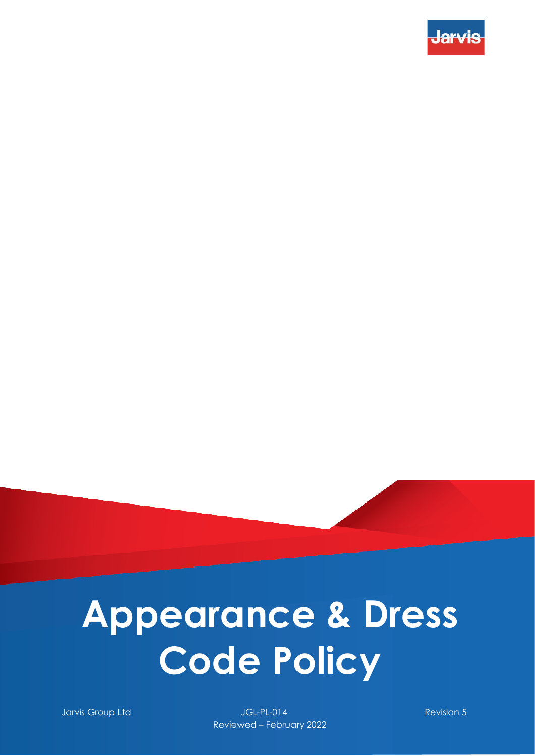

Jarvis Group Ltd JGL-PL-014 Revision 5 Reviewed – February 2022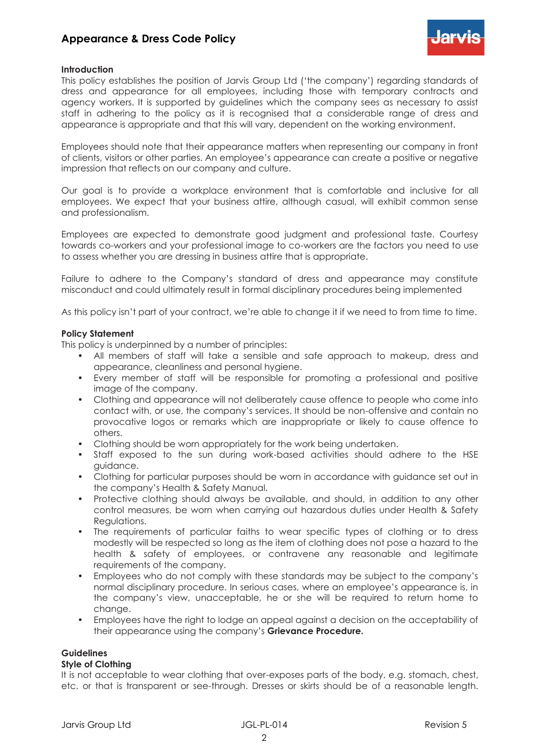

# **Introduction**

This policy establishes the position of Jarvis Group Ltd ('the company') regarding standards of dress and appearance for all employees, including those with temporary contracts and agency workers. It is supported by guidelines which the company sees as necessary to assist staff in adhering to the policy as it is recognised that a considerable range of dress and appearance is appropriate and that this will vary, dependent on the working environment.

Employees should note that their appearance matters when representing our company in front of clients, visitors or other parties. An employee's appearance can create a positive or negative impression that reflects on our company and culture.

Our goal is to provide a workplace environment that is comfortable and inclusive for all employees. We expect that your business attire, although casual, will exhibit common sense and professionalism.

Employees are expected to demonstrate good judgment and professional taste. Courtesy towards co-workers and your professional image to co-workers are the factors you need to use to assess whether you are dressing in business attire that is appropriate.

Failure to adhere to the Company's standard of dress and appearance may constitute misconduct and could ultimately result in formal disciplinary procedures being implemented

As this policy isn't part of your contract, we're able to change it if we need to from time to time.

#### **Policy Statement**

This policy is underpinned by a number of principles:

- All members of staff will take a sensible and safe approach to makeup, dress and appearance, cleanliness and personal hygiene.
- Every member of staff will be responsible for promoting a professional and positive image of the company.
- Clothing and appearance will not deliberately cause offence to people who come into contact with, or use, the company's services. It should be non-offensive and contain no provocative logos or remarks which are inappropriate or likely to cause offence to others.
- Clothing should be worn appropriately for the work being undertaken.
- Staff exposed to the sun during work-based activities should adhere to the HSE guidance.
- Clothing for particular purposes should be worn in accordance with guidance set out in the company's Health & Safety Manual.
- Protective clothing should always be available, and should, in addition to any other control measures, be worn when carrying out hazardous duties under Health & Safety Regulations.
- The requirements of particular faiths to wear specific types of clothing or to dress modestly will be respected so long as the item of clothing does not pose a hazard to the health & safety of employees, or contravene any reasonable and legitimate requirements of the company.
- Employees who do not comply with these standards may be subject to the company's normal disciplinary procedure. In serious cases, where an employee's appearance is, in the company's view, unacceptable, he or she will be required to return home to change.
- Employees have the right to lodge an appeal against a decision on the acceptability of their appearance using the company's **Grievance Procedure.**

# **Guidelines**

#### **Style of Clothing**

It is not acceptable to wear clothing that over-exposes parts of the body, e.g. stomach, chest, etc. or that is transparent or see-through. Dresses or skirts should be of a reasonable length.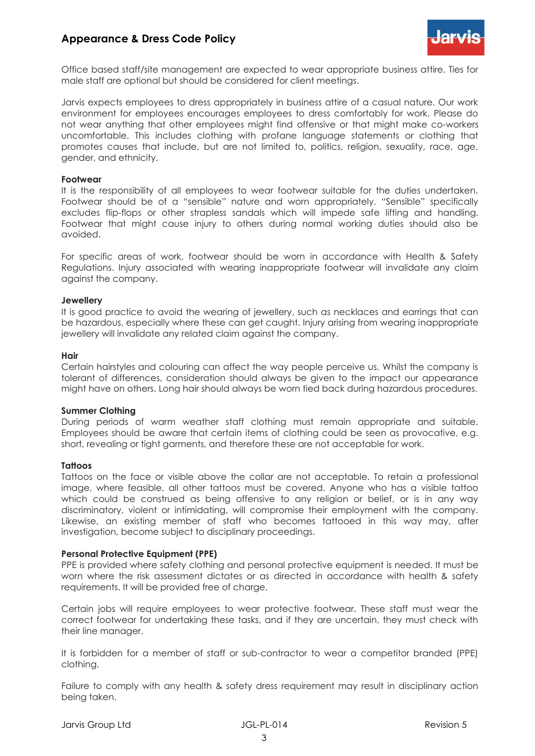

Office based staff/site management are expected to wear appropriate business attire. Ties for male staff are optional but should be considered for client meetings.

Jarvis expects employees to dress appropriately in business attire of a casual nature. Our work environment for employees encourages employees to dress comfortably for work. Please do not wear anything that other employees might find offensive or that might make co-workers uncomfortable. This includes clothing with profane language statements or clothing that promotes causes that include, but are not limited to, politics, religion, sexuality, race, age, gender, and ethnicity.

#### **Footwear**

It is the responsibility of all employees to wear footwear suitable for the duties undertaken. Footwear should be of a "sensible" nature and worn appropriately. "Sensible" specifically excludes flip-flops or other strapless sandals which will impede safe lifting and handling. Footwear that might cause injury to others during normal working duties should also be avoided.

For specific areas of work, footwear should be worn in accordance with Health & Safety Regulations. Injury associated with wearing inappropriate footwear will invalidate any claim against the company.

#### **Jewellery**

It is good practice to avoid the wearing of jewellery, such as necklaces and earrings that can be hazardous, especially where these can get caught. Injury arising from wearing inappropriate jewellery will invalidate any related claim against the company.

#### **Hair**

Certain hairstyles and colouring can affect the way people perceive us. Whilst the company is tolerant of differences, consideration should always be given to the impact our appearance might have on others. Long hair should always be worn tied back during hazardous procedures.

# **Summer Clothing**

During periods of warm weather staff clothing must remain appropriate and suitable. Employees should be aware that certain items of clothing could be seen as provocative, e.g. short, revealing or tight garments, and therefore these are not acceptable for work.

# **Tattoos**

Tattoos on the face or visible above the collar are not acceptable. To retain a professional image, where feasible, all other tattoos must be covered. Anyone who has a visible tattoo which could be construed as being offensive to any religion or belief, or is in any way discriminatory, violent or intimidating, will compromise their employment with the company. Likewise, an existing member of staff who becomes tattooed in this way may, after investigation, become subject to disciplinary proceedings.

# **Personal Protective Equipment (PPE)**

PPE is provided where safety clothing and personal protective equipment is needed. It must be worn where the risk assessment dictates or as directed in accordance with health & safety requirements. It will be provided free of charge.

Certain jobs will require employees to wear protective footwear. These staff must wear the correct footwear for undertaking these tasks, and if they are uncertain, they must check with their line manager.

It is forbidden for a member of staff or sub-contractor to wear a competitor branded (PPE) clothing.

Failure to comply with any health & safety dress requirement may result in disciplinary action being taken.